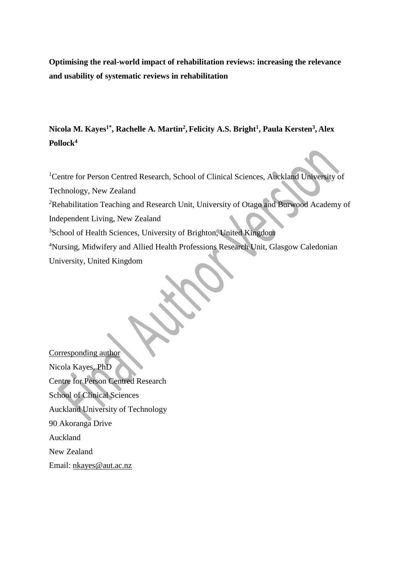**Optimising the real-world impact of rehabilitation reviews: increasing the relevance and usability of systematic reviews in rehabilitation**

# **Nicola M. Kayes1\* , Rachelle A. Martin<sup>2</sup> , Felicity A.S. Bright<sup>1</sup> , Paula Kersten<sup>3</sup> , Alex Pollock<sup>4</sup>**

<sup>1</sup>Centre for Person Centred Research, School of Clinical Sciences, Auckland University of Technology, New Zealand <sup>2</sup>Rehabilitation Teaching and Research Unit, University of Otago and Burwood Academy of Independent Living, New Zealand <sup>3</sup>School of Health Sciences, University of Brighton, United Kingdom <sup>4</sup>Nursing, Midwifery and Allied Health Professions Research Unit, Glasgow Caledonian University, United Kingdom

Corresponding author Nicola Kayes, PhD Centre for Person Centred Research School of Clinical Sciences Auckland University of Technology 90 Akoranga Drive Auckland New Zealand

Email: [nkayes@aut.ac.nz](mailto:nkayes@aut.ac.nz)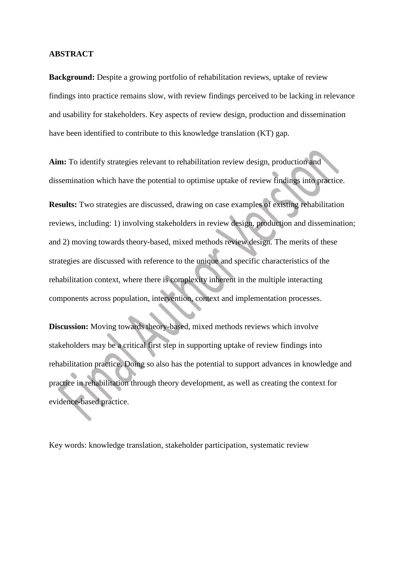#### **ABSTRACT**

**Background:** Despite a growing portfolio of rehabilitation reviews, uptake of review findings into practice remains slow, with review findings perceived to be lacking in relevance and usability for stakeholders. Key aspects of review design, production and dissemination have been identified to contribute to this knowledge translation (KT) gap.

**Aim:** To identify strategies relevant to rehabilitation review design, production and dissemination which have the potential to optimise uptake of review findings into practice.

**Results:** Two strategies are discussed, drawing on case examples of existing rehabilitation reviews, including: 1) involving stakeholders in review design, production and dissemination; and 2) moving towards theory-based, mixed methods review design. The merits of these strategies are discussed with reference to the unique and specific characteristics of the rehabilitation context, where there is complexity inherent in the multiple interacting components across population, intervention, context and implementation processes.

**Discussion:** Moving towards theory-based, mixed methods reviews which involve stakeholders may be a critical first step in supporting uptake of review findings into rehabilitation practice. Doing so also has the potential to support advances in knowledge and practice in rehabilitation through theory development, as well as creating the context for evidence-based practice.

Key words: knowledge translation, stakeholder participation, systematic review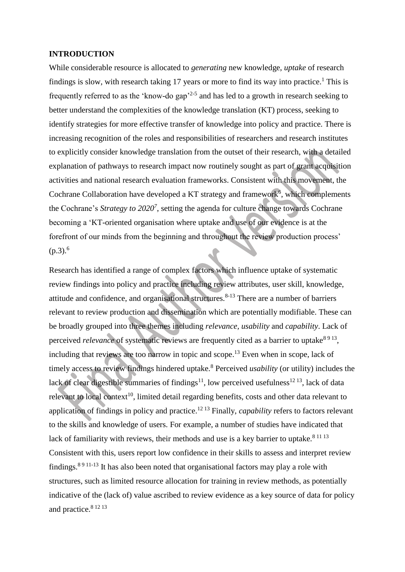#### **INTRODUCTION**

While considerable resource is allocated to *generating* new knowledge, *uptake* of research findings is slow, with research taking 17 years or more to find its way into practice.<sup>1</sup> This is frequently referred to as the 'know-do gap'<sup>2-5</sup> and has led to a growth in research seeking to better understand the complexities of the knowledge translation (KT) process, seeking to identify strategies for more effective transfer of knowledge into policy and practice. There is increasing recognition of the roles and responsibilities of researchers and research institutes to explicitly consider knowledge translation from the outset of their research, with a detailed explanation of pathways to research impact now routinely sought as part of grant acquisition activities and national research evaluation frameworks. Consistent with this movement, the Cochrane Collaboration have developed a KT strategy and framework $<sup>6</sup>$ , which complements</sup> the Cochrane's *Strategy to 2020<sup>7</sup>* , setting the agenda for culture change towards Cochrane becoming a 'KT-oriented organisation where uptake and use of our evidence is at the forefront of our minds from the beginning and throughout the review production process'  $(p.3).<sup>6</sup>$ 

Research has identified a range of complex factors which influence uptake of systematic review findings into policy and practice including review attributes, user skill, knowledge, attitude and confidence, and organisational structures.8-13 There are a number of barriers relevant to review production and dissemination which are potentially modifiable. These can be broadly grouped into three themes including *relevance, usability* and *capability*. Lack of perceived *relevance* of systematic reviews are frequently cited as a barrier to uptake<sup>8913</sup>, including that reviews are too narrow in topic and scope. <sup>13</sup> Even when in scope, lack of timely access to review findings hindered uptake.<sup>8</sup> Perceived *usability* (or utility) includes the lack of clear digestible summaries of findings<sup>11</sup>, low perceived usefulness<sup>12 13</sup>, lack of data relevant to local context<sup>10</sup>, limited detail regarding benefits, costs and other data relevant to application of findings in policy and practice. 12 13 Finally, *capability* refers to factors relevant to the skills and knowledge of users. For example, a number of studies have indicated that lack of familiarity with reviews, their methods and use is a key barrier to uptake.<sup>8 11 13</sup> Consistent with this, users report low confidence in their skills to assess and interpret review findings.8 9 11-13 It has also been noted that organisational factors may play a role with structures, such as limited resource allocation for training in review methods, as potentially indicative of the (lack of) value ascribed to review evidence as a key source of data for policy and practice.<sup>8 12 13</sup>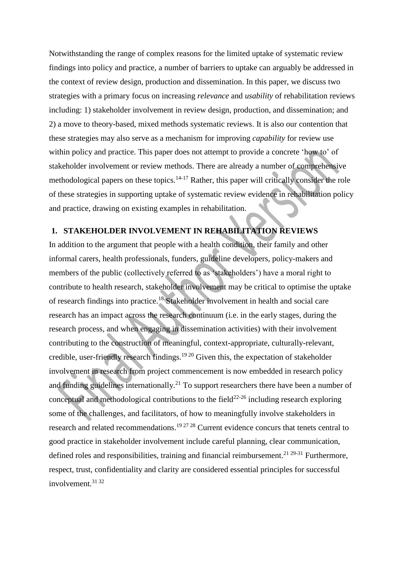Notwithstanding the range of complex reasons for the limited uptake of systematic review findings into policy and practice, a number of barriers to uptake can arguably be addressed in the context of review design, production and dissemination. In this paper, we discuss two strategies with a primary focus on increasing *relevance* and *usability* of rehabilitation reviews including: 1) stakeholder involvement in review design, production, and dissemination; and 2) a move to theory-based, mixed methods systematic reviews. It is also our contention that these strategies may also serve as a mechanism for improving *capability* for review use within policy and practice. This paper does not attempt to provide a concrete 'how to' of stakeholder involvement or review methods. There are already a number of comprehensive methodological papers on these topics.<sup>14-17</sup> Rather, this paper will critically consider the role of these strategies in supporting uptake of systematic review evidence in rehabilitation policy and practice, drawing on existing examples in rehabilitation.

### **1. STAKEHOLDER INVOLVEMENT IN REHABILITATION REVIEWS**

In addition to the argument that people with a health condition, their family and other informal carers, health professionals, funders, guideline developers, policy-makers and members of the public (collectively referred to as 'stakeholders') have a moral right to contribute to health research, stakeholder involvement may be critical to optimise the uptake of research findings into practice.<sup>18</sup> Stakeholder involvement in health and social care research has an impact across the research continuum (i.e. in the early stages, during the research process, and when engaging in dissemination activities) with their involvement contributing to the construction of meaningful, context-appropriate, culturally-relevant, credible, user-friendly research findings.<sup>19 20</sup> Given this, the expectation of stakeholder involvement in research from project commencement is now embedded in research policy and funding guidelines internationally.<sup>21</sup> To support researchers there have been a number of conceptual and methodological contributions to the field<sup> $22-26$ </sup> including research exploring some of the challenges, and facilitators, of how to meaningfully involve stakeholders in research and related recommendations.<sup>19 27</sup> 28 Current evidence concurs that tenets central to good practice in stakeholder involvement include careful planning, clear communication, defined roles and responsibilities, training and financial reimbursement.<sup>21</sup><sup>29-31</sup> Furthermore, respect, trust, confidentiality and clarity are considered essential principles for successful involvement. 31 32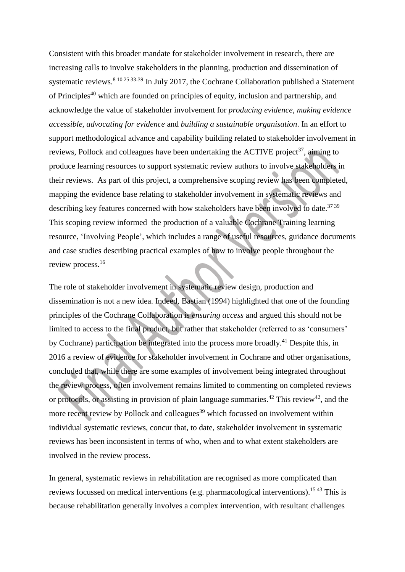Consistent with this broader mandate for stakeholder involvement in research, there are increasing calls to involve stakeholders in the planning, production and dissemination of systematic reviews.8 10 25 33-39 In July 2017, the Cochrane Collaboration published a Statement of Principles<sup>40</sup> which are founded on principles of equity, inclusion and partnership, and acknowledge the value of stakeholder involvement for *producing evidence*, *making evidence accessible*, *advocating for evidence* and *building a sustainable organisation*. In an effort to support methodological advance and capability building related to stakeholder involvement in reviews, Pollock and colleagues have been undertaking the ACTIVE project<sup>37</sup>, aiming to produce learning resources to support systematic review authors to involve stakeholders in their reviews. As part of this project, a comprehensive scoping review has been completed, mapping the evidence base relating to stakeholder involvement in systematic reviews and describing key features concerned with how stakeholders have been involved to date.<sup>37,39</sup> This scoping review informed the production of a valuable Cochrane Training learning resource, 'Involving People', which includes a range of useful resources, guidance documents and case studies describing practical examples of how to involve people throughout the review process.<sup>16</sup>

The role of stakeholder involvement in systematic review design, production and dissemination is not a new idea. Indeed, Bastian (1994) highlighted that one of the founding principles of the Cochrane Collaboration is *ensuring access* and argued this should not be limited to access to the final product, but rather that stakeholder (referred to as 'consumers' by Cochrane) participation be integrated into the process more broadly.<sup>41</sup> Despite this, in 2016 a review of evidence for stakeholder involvement in Cochrane and other organisations, concluded that, while there are some examples of involvement being integrated throughout the review process, often involvement remains limited to commenting on completed reviews or protocols, or assisting in provision of plain language summaries.<sup>42</sup> This review<sup>42</sup>, and the more recent review by Pollock and colleagues<sup>39</sup> which focussed on involvement within individual systematic reviews, concur that, to date, stakeholder involvement in systematic reviews has been inconsistent in terms of who, when and to what extent stakeholders are involved in the review process.

In general, systematic reviews in rehabilitation are recognised as more complicated than reviews focussed on medical interventions (e.g. pharmacological interventions).<sup>1543</sup> This is because rehabilitation generally involves a complex intervention, with resultant challenges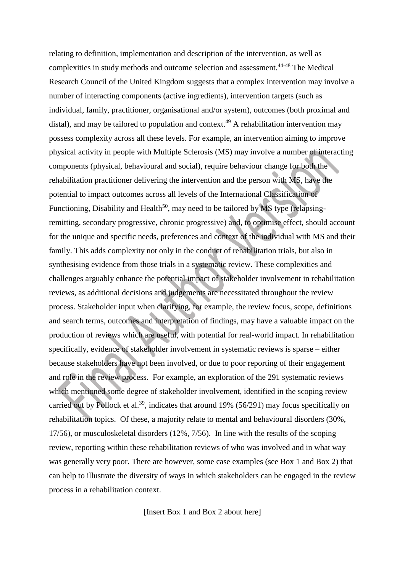relating to definition, implementation and description of the intervention, as well as complexities in study methods and outcome selection and assessment. 44-48 The Medical Research Council of the United Kingdom suggests that a complex intervention may involve a number of interacting components (active ingredients), intervention targets (such as individual, family, practitioner, organisational and/or system), outcomes (both proximal and distal), and may be tailored to population and context.<sup>49</sup> A rehabilitation intervention may possess complexity across all these levels. For example, an intervention aiming to improve physical activity in people with Multiple Sclerosis (MS) may involve a number of interacting components (physical, behavioural and social), require behaviour change for both the rehabilitation practitioner delivering the intervention and the person with MS, have the potential to impact outcomes across all levels of the International Classification of Functioning, Disability and Health<sup>50</sup>, may need to be tailored by MS type (relapsingremitting, secondary progressive, chronic progressive) and, to optimise effect, should account for the unique and specific needs, preferences and context of the individual with MS and their family. This adds complexity not only in the conduct of rehabilitation trials, but also in synthesising evidence from those trials in a systematic review. These complexities and challenges arguably enhance the potential impact of stakeholder involvement in rehabilitation reviews, as additional decisions and judgements are necessitated throughout the review process. Stakeholder input when clarifying, for example, the review focus, scope, definitions and search terms, outcomes and interpretation of findings, may have a valuable impact on the production of reviews which are useful, with potential for real-world impact. In rehabilitation specifically, evidence of stakeholder involvement in systematic reviews is sparse – either because stakeholders have not been involved, or due to poor reporting of their engagement and role in the review process. For example, an exploration of the 291 systematic reviews which mentioned some degree of stakeholder involvement, identified in the scoping review carried out by Pollock et al.<sup>39</sup>, indicates that around 19% (56/291) may focus specifically on rehabilitation topics. Of these, a majority relate to mental and behavioural disorders (30%, 17/56), or musculoskeletal disorders (12%, 7/56). In line with the results of the scoping review, reporting within these rehabilitation reviews of who was involved and in what way was generally very poor. There are however, some case examples (see Box 1 and Box 2) that can help to illustrate the diversity of ways in which stakeholders can be engaged in the review process in a rehabilitation context.

[Insert Box 1 and Box 2 about here]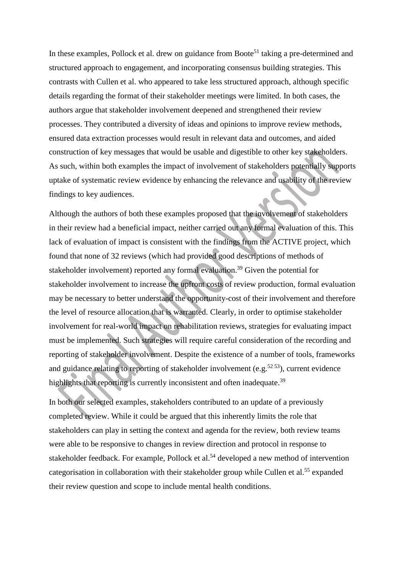In these examples, Pollock et al. drew on guidance from Boote<sup>51</sup> taking a pre-determined and structured approach to engagement, and incorporating consensus building strategies. This contrasts with Cullen et al. who appeared to take less structured approach, although specific details regarding the format of their stakeholder meetings were limited. In both cases, the authors argue that stakeholder involvement deepened and strengthened their review processes. They contributed a diversity of ideas and opinions to improve review methods, ensured data extraction processes would result in relevant data and outcomes, and aided construction of key messages that would be usable and digestible to other key stakeholders. As such, within both examples the impact of involvement of stakeholders potentially supports uptake of systematic review evidence by enhancing the relevance and usability of the review findings to key audiences.

Although the authors of both these examples proposed that the involvement of stakeholders in their review had a beneficial impact, neither carried out any formal evaluation of this. This lack of evaluation of impact is consistent with the findings from the ACTIVE project, which found that none of 32 reviews (which had provided good descriptions of methods of stakeholder involvement) reported any formal evaluation.<sup>39</sup> Given the potential for stakeholder involvement to increase the upfront costs of review production, formal evaluation may be necessary to better understand the opportunity-cost of their involvement and therefore the level of resource allocation that is warranted. Clearly, in order to optimise stakeholder involvement for real-world impact on rehabilitation reviews, strategies for evaluating impact must be implemented. Such strategies will require careful consideration of the recording and reporting of stakeholder involvement. Despite the existence of a number of tools, frameworks and guidance relating to reporting of stakeholder involvement (e.g. $52\,53$ ), current evidence highlights that reporting is currently inconsistent and often inadequate.<sup>39</sup>

In both our selected examples, stakeholders contributed to an update of a previously completed review. While it could be argued that this inherently limits the role that stakeholders can play in setting the context and agenda for the review, both review teams were able to be responsive to changes in review direction and protocol in response to stakeholder feedback. For example, Pollock et al.<sup>54</sup> developed a new method of intervention categorisation in collaboration with their stakeholder group while Cullen et al.<sup>55</sup> expanded their review question and scope to include mental health conditions.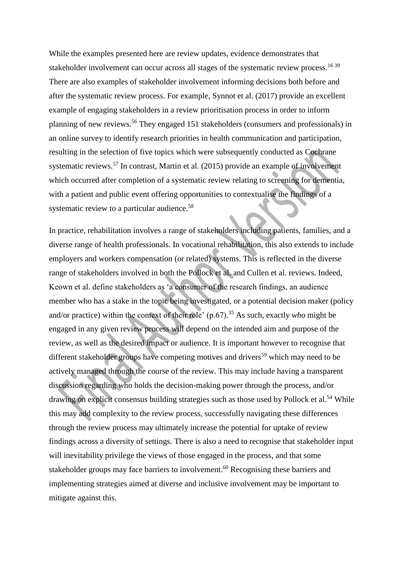While the examples presented here are review updates, evidence demonstrates that stakeholder involvement can occur across all stages of the systematic review process.<sup>1639</sup> There are also examples of stakeholder involvement informing decisions both before and after the systematic review process. For example, Synnot et al. (2017) provide an excellent example of engaging stakeholders in a review prioritisation process in order to inform planning of new reviews. <sup>56</sup> They engaged 151 stakeholders (consumers and professionals) in an online survey to identify research priorities in health communication and participation, resulting in the selection of five topics which were subsequently conducted as Cochrane systematic reviews.<sup>57</sup> In contrast, Martin et al. (2015) provide an example of involvement which occurred after completion of a systematic review relating to screening for dementia, with a patient and public event offering opportunities to contextualise the findings of a systematic review to a particular audience.<sup>58</sup>

In practice, rehabilitation involves a range of stakeholders including patients, families, and a diverse range of health professionals. In vocational rehabilitation, this also extends to include employers and workers compensation (or related) systems. This is reflected in the diverse range of stakeholders involved in both the Pollock et al. and Cullen et al. reviews. Indeed, Keown et al. define stakeholders as 'a consumer of the research findings, an audience member who has a stake in the topic being investigated, or a potential decision maker (policy and/or practice) within the context of their role' (p.67). <sup>35</sup> As such, exactly *who* might be engaged in any given review process will depend on the intended aim and purpose of the review, as well as the desired impact or audience. It is important however to recognise that different stakeholder groups have competing motives and drivers<sup>59</sup> which may need to be actively managed through the course of the review. This may include having a transparent discussion regarding who holds the decision-making power through the process, and/or drawing on explicit consensus building strategies such as those used by Pollock et al.<sup>54</sup> While this may add complexity to the review process, successfully navigating these differences through the review process may ultimately increase the potential for uptake of review findings across a diversity of settings. There is also a need to recognise that stakeholder input will inevitability privilege the views of those engaged in the process, and that some stakeholder groups may face barriers to involvement.<sup>60</sup> Recognising these barriers and implementing strategies aimed at diverse and inclusive involvement may be important to mitigate against this.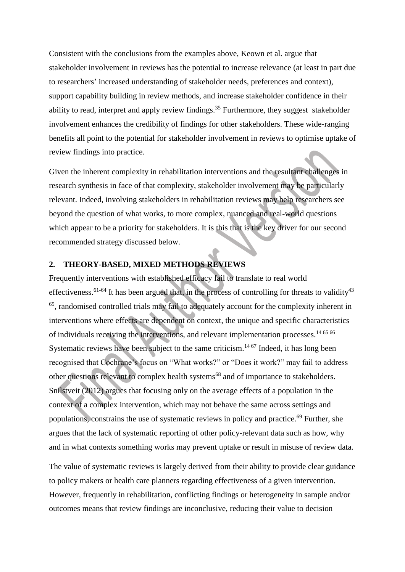Consistent with the conclusions from the examples above, Keown et al. argue that stakeholder involvement in reviews has the potential to increase relevance (at least in part due to researchers' increased understanding of stakeholder needs, preferences and context), support capability building in review methods, and increase stakeholder confidence in their ability to read, interpret and apply review findings.<sup>35</sup> Furthermore, they suggest stakeholder involvement enhances the credibility of findings for other stakeholders. These wide-ranging benefits all point to the potential for stakeholder involvement in reviews to optimise uptake of review findings into practice.

Given the inherent complexity in rehabilitation interventions and the resultant challenges in research synthesis in face of that complexity, stakeholder involvement may be particularly relevant. Indeed, involving stakeholders in rehabilitation reviews may help researchers see beyond the question of what works, to more complex, nuanced and real-world questions which appear to be a priority for stakeholders. It is this that is the key driver for our second recommended strategy discussed below.

### **2. THEORY-BASED, MIXED METHODS REVIEWS**

Frequently interventions with established efficacy fail to translate to real world effectiveness.<sup>61-64</sup> It has been argued that, in the process of controlling for threats to validity<sup>43</sup> <sup>65</sup>, randomised controlled trials may fail to adequately account for the complexity inherent in interventions where effects are dependent on context, the unique and specific characteristics of individuals receiving the interventions, and relevant implementation processes.<sup>14 65 66</sup> Systematic reviews have been subject to the same criticism.<sup>1467</sup> Indeed, it has long been recognised that Cochrane's focus on "What works?" or "Does it work?" may fail to address other questions relevant to complex health systems<sup>68</sup> and of importance to stakeholders. Snilstveit (2012) argues that focusing only on the average effects of a population in the context of a complex intervention, which may not behave the same across settings and populations, constrains the use of systematic reviews in policy and practice.<sup>69</sup> Further, she argues that the lack of systematic reporting of other policy-relevant data such as how, why and in what contexts something works may prevent uptake or result in misuse of review data.

The value of systematic reviews is largely derived from their ability to provide clear guidance to policy makers or health care planners regarding effectiveness of a given intervention. However, frequently in rehabilitation, conflicting findings or heterogeneity in sample and/or outcomes means that review findings are inconclusive, reducing their value to decision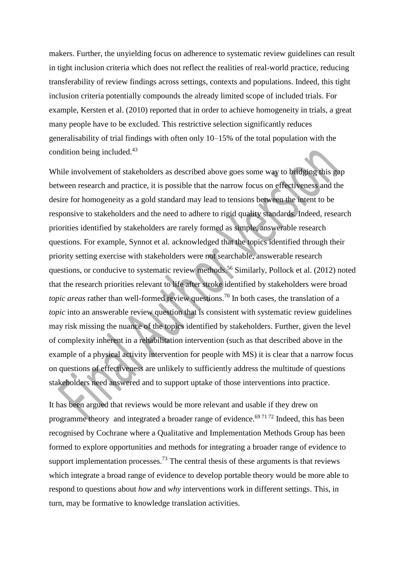makers. Further, the unyielding focus on adherence to systematic review guidelines can result in tight inclusion criteria which does not reflect the realities of real-world practice, reducing transferability of review findings across settings, contexts and populations. Indeed, this tight inclusion criteria potentially compounds the already limited scope of included trials. For example, Kersten et al. (2010) reported that in order to achieve homogeneity in trials, a great many people have to be excluded. This restrictive selection significantly reduces generalisability of trial findings with often only 10–15% of the total population with the condition being included.<sup>43</sup>

While involvement of stakeholders as described above goes some way to bridging this gap between research and practice, it is possible that the narrow focus on effectiveness and the desire for homogeneity as a gold standard may lead to tensions between the intent to be responsive to stakeholders and the need to adhere to rigid quality standards. Indeed, research priorities identified by stakeholders are rarely formed as simple, answerable research questions. For example, Synnot et al. acknowledged that the topics identified through their priority setting exercise with stakeholders were not searchable, answerable research questions, or conducive to systematic review methods.<sup>56</sup> Similarly, Pollock et al. (2012) noted that the research priorities relevant to life after stroke identified by stakeholders were broad *topic areas* rather than well-formed review questions.<sup>70</sup> In both cases, the translation of a *topic* into an answerable review question that is consistent with systematic review guidelines may risk missing the nuance of the topics identified by stakeholders. Further, given the level of complexity inherent in a rehabilitation intervention (such as that described above in the example of a physical activity intervention for people with MS) it is clear that a narrow focus on questions of effectiveness are unlikely to sufficiently address the multitude of questions stakeholders need answered and to support uptake of those interventions into practice.

It has been argued that reviews would be more relevant and usable if they drew on programme theory and integrated a broader range of evidence.<sup>69 71 72</sup> Indeed, this has been recognised by Cochrane where a Qualitative and Implementation Methods Group has been formed to explore opportunities and methods for integrating a broader range of evidence to support implementation processes.<sup>73</sup> The central thesis of these arguments is that reviews which integrate a broad range of evidence to develop portable theory would be more able to respond to questions about *how* and *why* interventions work in different settings. This, in turn, may be formative to knowledge translation activities.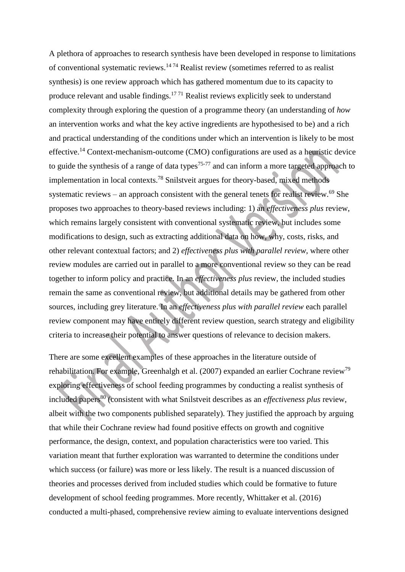A plethora of approaches to research synthesis have been developed in response to limitations of conventional systematic reviews.<sup>1474</sup> Realist review (sometimes referred to as realist synthesis) is one review approach which has gathered momentum due to its capacity to produce relevant and usable findings.17 71 Realist reviews explicitly seek to understand complexity through exploring the question of a programme theory (an understanding of *how* an intervention works and what the key active ingredients are hypothesised to be) and a rich and practical understanding of the conditions under which an intervention is likely to be most effective.<sup>14</sup> Context-mechanism-outcome (CMO) configurations are used as a heuristic device to guide the synthesis of a range of data types<sup>75-77</sup> and can inform a more targeted approach to implementation in local contexts. <sup>78</sup> Snilstveit argues for theory-based, mixed methods systematic reviews – an approach consistent with the general tenets for realist review.<sup>69</sup> She proposes two approaches to theory-based reviews including: 1) an *effectiveness plus* review, which remains largely consistent with conventional systematic review, but includes some modifications to design, such as extracting additional data on how, why, costs, risks, and other relevant contextual factors; and 2) *effectiveness plus with parallel review*, where other review modules are carried out in parallel to a more conventional review so they can be read together to inform policy and practice. In an *effectiveness plus* review, the included studies remain the same as conventional review, but additional details may be gathered from other sources, including grey literature. In an *effectiveness plus with parallel review* each parallel review component may have entirely different review question, search strategy and eligibility criteria to increase their potential to answer questions of relevance to decision makers.

There are some excellent examples of these approaches in the literature outside of rehabilitation. For example, Greenhalgh et al. (2007) expanded an earlier Cochrane review<sup>79</sup> exploring effectiveness of school feeding programmes by conducting a realist synthesis of included papers<sup>80</sup> (consistent with what Snilstveit describes as an *effectiveness plus* review, albeit with the two components published separately). They justified the approach by arguing that while their Cochrane review had found positive effects on growth and cognitive performance, the design, context, and population characteristics were too varied. This variation meant that further exploration was warranted to determine the conditions under which success (or failure) was more or less likely. The result is a nuanced discussion of theories and processes derived from included studies which could be formative to future development of school feeding programmes. More recently, Whittaker et al. (2016) conducted a multi-phased, comprehensive review aiming to evaluate interventions designed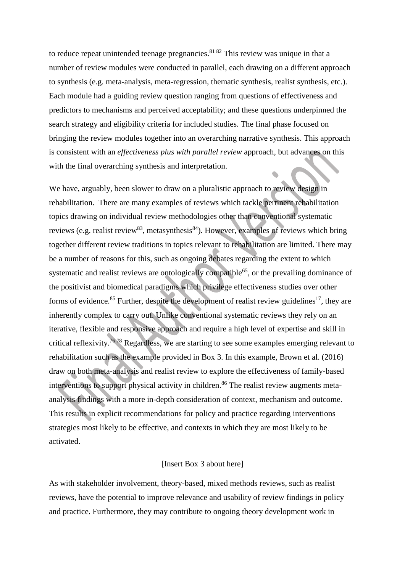to reduce repeat unintended teenage pregnancies. $81\,82\,$  This review was unique in that a number of review modules were conducted in parallel, each drawing on a different approach to synthesis (e.g. meta-analysis, meta-regression, thematic synthesis, realist synthesis, etc.). Each module had a guiding review question ranging from questions of effectiveness and predictors to mechanisms and perceived acceptability; and these questions underpinned the search strategy and eligibility criteria for included studies. The final phase focused on bringing the review modules together into an overarching narrative synthesis. This approach is consistent with an *effectiveness plus with parallel review* approach, but advances on this with the final overarching synthesis and interpretation.

We have, arguably, been slower to draw on a pluralistic approach to review design in rehabilitation. There are many examples of reviews which tackle pertinent rehabilitation topics drawing on individual review methodologies other than conventional systematic reviews (e.g. realist review<sup>83</sup>, metasynthesis<sup>84</sup>). However, examples of reviews which bring together different review traditions in topics relevant to rehabilitation are limited. There may be a number of reasons for this, such as ongoing debates regarding the extent to which systematic and realist reviews are ontologically compatible<sup>65</sup>, or the prevailing dominance of the positivist and biomedical paradigms which privilege effectiveness studies over other forms of evidence.<sup>85</sup> Further, despite the development of realist review guidelines<sup>17</sup>, they are inherently complex to carry out. Unlike conventional systematic reviews they rely on an iterative, flexible and responsive approach and require a high level of expertise and skill in critical reflexivity.76 78 Regardless, we are starting to see some examples emerging relevant to rehabilitation such as the example provided in Box 3. In this example, Brown et al. (2016) draw on both meta-analysis and realist review to explore the effectiveness of family-based interventions to support physical activity in children.<sup>86</sup> The realist review augments metaanalysis findings with a more in-depth consideration of context, mechanism and outcome. This results in explicit recommendations for policy and practice regarding interventions strategies most likely to be effective, and contexts in which they are most likely to be activated.

#### [Insert Box 3 about here]

As with stakeholder involvement, theory-based, mixed methods reviews, such as realist reviews, have the potential to improve relevance and usability of review findings in policy and practice. Furthermore, they may contribute to ongoing theory development work in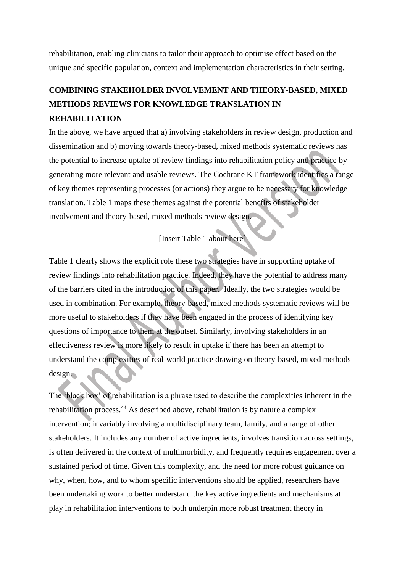rehabilitation, enabling clinicians to tailor their approach to optimise effect based on the unique and specific population, context and implementation characteristics in their setting.

# **COMBINING STAKEHOLDER INVOLVEMENT AND THEORY-BASED, MIXED METHODS REVIEWS FOR KNOWLEDGE TRANSLATION IN REHABILITATION**

In the above, we have argued that a) involving stakeholders in review design, production and dissemination and b) moving towards theory-based, mixed methods systematic reviews has the potential to increase uptake of review findings into rehabilitation policy and practice by generating more relevant and usable reviews. The Cochrane KT framework identifies a range of key themes representing processes (or actions) they argue to be necessary for knowledge translation. Table 1 maps these themes against the potential benefits of stakeholder involvement and theory-based, mixed methods review design.

## [Insert Table 1 about here]

Table 1 clearly shows the explicit role these two strategies have in supporting uptake of review findings into rehabilitation practice. Indeed, they have the potential to address many of the barriers cited in the introduction of this paper. Ideally, the two strategies would be used in combination. For example, theory-based, mixed methods systematic reviews will be more useful to stakeholders if they have been engaged in the process of identifying key questions of importance to them at the outset. Similarly, involving stakeholders in an effectiveness review is more likely to result in uptake if there has been an attempt to understand the complexities of real-world practice drawing on theory-based, mixed methods design.

The 'black box' of rehabilitation is a phrase used to describe the complexities inherent in the rehabilitation process.<sup>44</sup> As described above, rehabilitation is by nature a complex intervention; invariably involving a multidisciplinary team, family, and a range of other stakeholders. It includes any number of active ingredients, involves transition across settings, is often delivered in the context of multimorbidity, and frequently requires engagement over a sustained period of time. Given this complexity, and the need for more robust guidance on why, when, how, and to whom specific interventions should be applied, researchers have been undertaking work to better understand the key active ingredients and mechanisms at play in rehabilitation interventions to both underpin more robust treatment theory in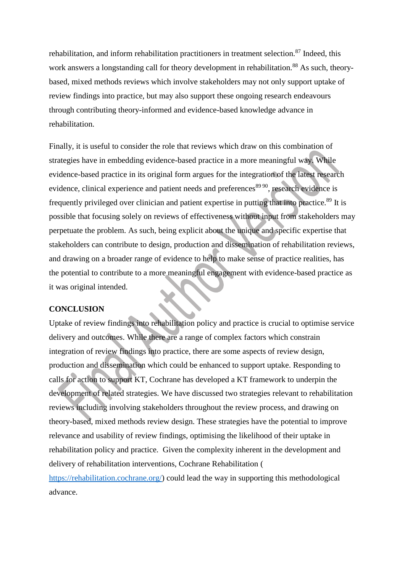rehabilitation, and inform rehabilitation practitioners in treatment selection.<sup>87</sup> Indeed, this work answers a longstanding call for theory development in rehabilitation.<sup>88</sup> As such, theorybased, mixed methods reviews which involve stakeholders may not only support uptake of review findings into practice, but may also support these ongoing research endeavours through contributing theory-informed and evidence-based knowledge advance in rehabilitation.

Finally, it is useful to consider the role that reviews which draw on this combination of strategies have in embedding evidence-based practice in a more meaningful way. While evidence-based practice in its original form argues for the integration of the latest research evidence, clinical experience and patient needs and preferences<sup>89 90</sup>, research evidence is frequently privileged over clinician and patient expertise in putting that into practice.<sup>89</sup> It is possible that focusing solely on reviews of effectiveness without input from stakeholders may perpetuate the problem. As such, being explicit about the unique and specific expertise that stakeholders can contribute to design, production and dissemination of rehabilitation reviews, and drawing on a broader range of evidence to help to make sense of practice realities, has the potential to contribute to a more meaningful engagement with evidence-based practice as it was original intended.

#### **CONCLUSION**

Uptake of review findings into rehabilitation policy and practice is crucial to optimise service delivery and outcomes. While there are a range of complex factors which constrain integration of review findings into practice, there are some aspects of review design, production and dissemination which could be enhanced to support uptake. Responding to calls for action to support KT, Cochrane has developed a KT framework to underpin the development of related strategies. We have discussed two strategies relevant to rehabilitation reviews including involving stakeholders throughout the review process, and drawing on theory-based, mixed methods review design. These strategies have the potential to improve relevance and usability of review findings, optimising the likelihood of their uptake in rehabilitation policy and practice. Given the complexity inherent in the development and delivery of rehabilitation interventions, Cochrane Rehabilitation ( [https://rehabilitation.cochrane.org/\)](https://rehabilitation.cochrane.org/) could lead the way in supporting this methodological advance.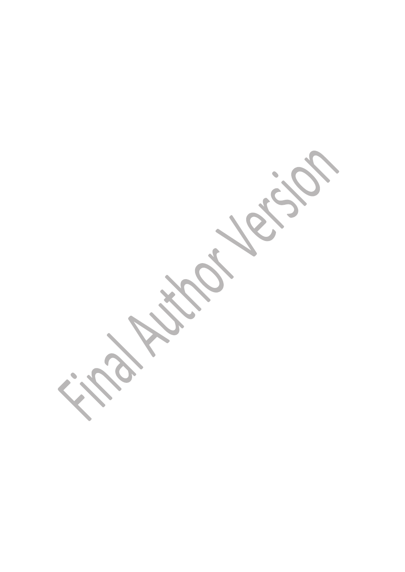Final Mitro-Version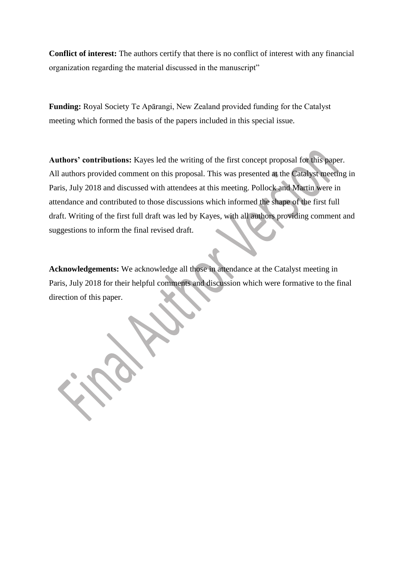**Conflict of interest:** The authors certify that there is no conflict of interest with any financial organization regarding the material discussed in the manuscript"

**Funding:** Royal Society Te Apārangi, New Zealand provided funding for the Catalyst meeting which formed the basis of the papers included in this special issue.

**Authors' contributions:** Kayes led the writing of the first concept proposal for this paper. All authors provided comment on this proposal. This was presented at the Catalyst meeting in Paris, July 2018 and discussed with attendees at this meeting. Pollock and Martin were in attendance and contributed to those discussions which informed the shape of the first full draft. Writing of the first full draft was led by Kayes, with all authors providing comment and suggestions to inform the final revised draft.

**Acknowledgements:** We acknowledge all those in attendance at the Catalyst meeting in Paris, July 2018 for their helpful comments and discussion which were formative to the final direction of this paper.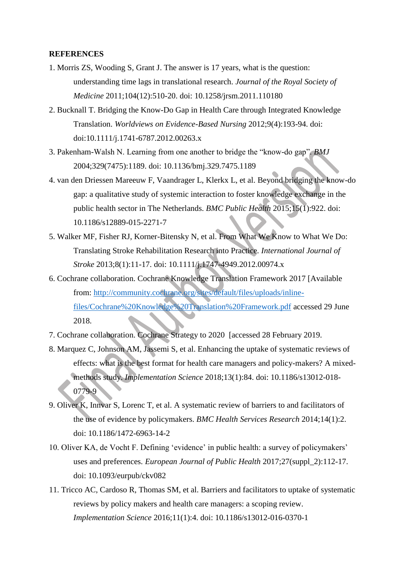#### **REFERENCES**

- 1. Morris ZS, Wooding S, Grant J. The answer is 17 years, what is the question: understanding time lags in translational research. *Journal of the Royal Society of Medicine* 2011;104(12):510-20. doi: 10.1258/jrsm.2011.110180
- 2. Bucknall T. Bridging the Know-Do Gap in Health Care through Integrated Knowledge Translation. *Worldviews on Evidence-Based Nursing* 2012;9(4):193-94. doi: doi:10.1111/j.1741-6787.2012.00263.x
- 3. Pakenham-Walsh N. Learning from one another to bridge the "know-do gap". *BMJ* 2004;329(7475):1189. doi: 10.1136/bmj.329.7475.1189
- 4. van den Driessen Mareeuw F, Vaandrager L, Klerkx L, et al. Beyond bridging the know-do gap: a qualitative study of systemic interaction to foster knowledge exchange in the public health sector in The Netherlands. *BMC Public Health* 2015;15(1):922. doi: 10.1186/s12889-015-2271-7
- 5. Walker MF, Fisher RJ, Korner-Bitensky N, et al. From What We Know to What We Do: Translating Stroke Rehabilitation Research into Practice. *International Journal of Stroke* 2013;8(1):11-17. doi: 10.1111/j.1747-4949.2012.00974.x
- 6. Cochrane collaboration. Cochrane Knowledge Translation Framework 2017 [Available from: [http://community.cochrane.org/sites/default/files/uploads/inline](http://community.cochrane.org/sites/default/files/uploads/inline-files/Cochrane%20Knowledge%20Translation%20Framework.pdf)[files/Cochrane%20Knowledge%20Translation%20Framework.pdf](http://community.cochrane.org/sites/default/files/uploads/inline-files/Cochrane%20Knowledge%20Translation%20Framework.pdf) accessed 29 June 2018.
- 7. Cochrane collaboration. Cochrane Strategy to 2020 [accessed 28 February 2019.
- 8. Marquez C, Johnson AM, Jassemi S, et al. Enhancing the uptake of systematic reviews of effects: what is the best format for health care managers and policy-makers? A mixedmethods study. *Implementation Science* 2018;13(1):84. doi: 10.1186/s13012-018- 0779-9
- 9. Oliver K, Innvar S, Lorenc T, et al. A systematic review of barriers to and facilitators of the use of evidence by policymakers. *BMC Health Services Research* 2014;14(1):2. doi: 10.1186/1472-6963-14-2
- 10. Oliver KA, de Vocht F. Defining 'evidence' in public health: a survey of policymakers' uses and preferences. *European Journal of Public Health* 2017;27(suppl\_2):112-17. doi: 10.1093/eurpub/ckv082
- 11. Tricco AC, Cardoso R, Thomas SM, et al. Barriers and facilitators to uptake of systematic reviews by policy makers and health care managers: a scoping review. *Implementation Science* 2016;11(1):4. doi: 10.1186/s13012-016-0370-1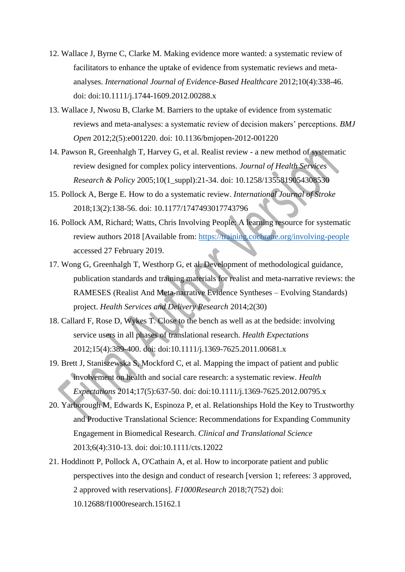- 12. Wallace J, Byrne C, Clarke M. Making evidence more wanted: a systematic review of facilitators to enhance the uptake of evidence from systematic reviews and metaanalyses. *International Journal of Evidence-Based Healthcare* 2012;10(4):338-46. doi: doi:10.1111/j.1744-1609.2012.00288.x
- 13. Wallace J, Nwosu B, Clarke M. Barriers to the uptake of evidence from systematic reviews and meta-analyses: a systematic review of decision makers' perceptions. *BMJ Open* 2012;2(5):e001220. doi: 10.1136/bmjopen-2012-001220
- 14. Pawson R, Greenhalgh T, Harvey G, et al. Realist review a new method of systematic review designed for complex policy interventions. *Journal of Health Services Research & Policy* 2005;10(1\_suppl):21-34. doi: 10.1258/1355819054308530
- 15. Pollock A, Berge E. How to do a systematic review. *International Journal of Stroke* 2018;13(2):138-56. doi: 10.1177/1747493017743796
- 16. Pollock AM, Richard; Watts, Chris Involving People: A learning resource for systematic review authors 2018 [Available from:<https://training.cochrane.org/involving-people> accessed 27 February 2019.
- 17. Wong G, Greenhalgh T, Westhorp G, et al. Development of methodological guidance, publication standards and training materials for realist and meta-narrative reviews: the RAMESES (Realist And Meta-narrative Evidence Syntheses – Evolving Standards) project. *Health Services and Delivery Research* 2014;2(30)
- 18. Callard F, Rose D, Wykes T. Close to the bench as well as at the bedside: involving service users in all phases of translational research. *Health Expectations* 2012;15(4):389-400. doi: doi:10.1111/j.1369-7625.2011.00681.x
- 19. Brett J, Staniszewska S, Mockford C, et al. Mapping the impact of patient and public involvement on health and social care research: a systematic review. *Health Expectations* 2014;17(5):637-50. doi: doi:10.1111/j.1369-7625.2012.00795.x
- 20. Yarborough M, Edwards K, Espinoza P, et al. Relationships Hold the Key to Trustworthy and Productive Translational Science: Recommendations for Expanding Community Engagement in Biomedical Research. *Clinical and Translational Science* 2013;6(4):310-13. doi: doi:10.1111/cts.12022
- 21. Hoddinott P, Pollock A, O'Cathain A, et al. How to incorporate patient and public perspectives into the design and conduct of research [version 1; referees: 3 approved, 2 approved with reservations]. *F1000Research* 2018;7(752) doi: 10.12688/f1000research.15162.1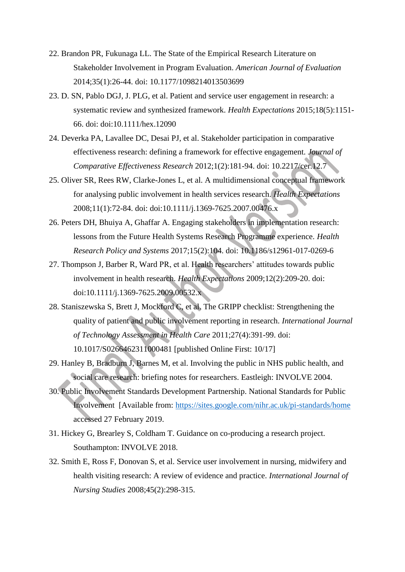- 22. Brandon PR, Fukunaga LL. The State of the Empirical Research Literature on Stakeholder Involvement in Program Evaluation. *American Journal of Evaluation* 2014;35(1):26-44. doi: 10.1177/1098214013503699
- 23. D. SN, Pablo DGJ, J. PLG, et al. Patient and service user engagement in research: a systematic review and synthesized framework. *Health Expectations* 2015;18(5):1151- 66. doi: doi:10.1111/hex.12090
- 24. Deverka PA, Lavallee DC, Desai PJ, et al. Stakeholder participation in comparative effectiveness research: defining a framework for effective engagement. *Journal of Comparative Effectiveness Research* 2012;1(2):181-94. doi: 10.2217/cer.12.7
- 25. Oliver SR, Rees RW, Clarke-Jones L, et al. A multidimensional conceptual framework for analysing public involvement in health services research. *Health Expectations* 2008;11(1):72-84. doi: doi:10.1111/j.1369-7625.2007.00476.x
- 26. Peters DH, Bhuiya A, Ghaffar A. Engaging stakeholders in implementation research: lessons from the Future Health Systems Research Programme experience. *Health Research Policy and Systems* 2017;15(2):104. doi: 10.1186/s12961-017-0269-6
- 27. Thompson J, Barber R, Ward PR, et al. Health researchers' attitudes towards public involvement in health research. *Health Expectations* 2009;12(2):209-20. doi: doi:10.1111/j.1369-7625.2009.00532.x
- 28. Staniszewska S, Brett J, Mockford C, et al. The GRIPP checklist: Strengthening the quality of patient and public involvement reporting in research. *International Journal of Technology Assessment in Health Care* 2011;27(4):391-99. doi: 10.1017/S0266462311000481 [published Online First: 10/17]
- 29. Hanley B, Bradburn J, Barnes M, et al. Involving the public in NHS public health, and social care research: briefing notes for researchers. Eastleigh: INVOLVE 2004.
- 30. Public Involvement Standards Development Partnership. National Standards for Public Involvement [Available from:<https://sites.google.com/nihr.ac.uk/pi-standards/home> accessed 27 February 2019.
- 31. Hickey G, Brearley S, Coldham T. Guidance on co-producing a research project. Southampton: INVOLVE 2018.
- 32. Smith E, Ross F, Donovan S, et al. Service user involvement in nursing, midwifery and health visiting research: A review of evidence and practice. *International Journal of Nursing Studies* 2008;45(2):298-315.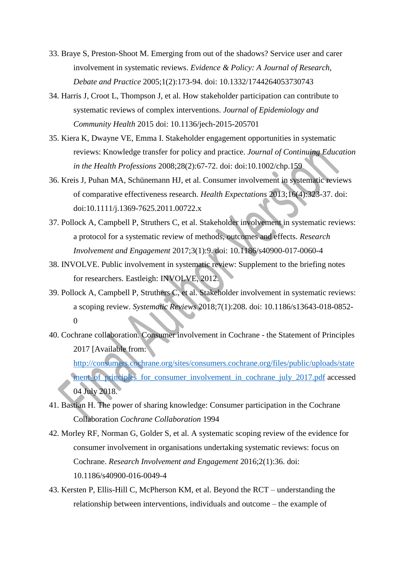- 33. Braye S, Preston-Shoot M. Emerging from out of the shadows? Service user and carer involvement in systematic reviews. *Evidence & Policy: A Journal of Research, Debate and Practice* 2005;1(2):173-94. doi: 10.1332/1744264053730743
- 34. Harris J, Croot L, Thompson J, et al. How stakeholder participation can contribute to systematic reviews of complex interventions. *Journal of Epidemiology and Community Health* 2015 doi: 10.1136/jech-2015-205701
- 35. Kiera K, Dwayne VE, Emma I. Stakeholder engagement opportunities in systematic reviews: Knowledge transfer for policy and practice. *Journal of Continuing Education in the Health Professions* 2008;28(2):67-72. doi: doi:10.1002/chp.159
- 36. Kreis J, Puhan MA, Schünemann HJ, et al. Consumer involvement in systematic reviews of comparative effectiveness research. *Health Expectations* 2013;16(4):323-37. doi: doi:10.1111/j.1369-7625.2011.00722.x
- 37. Pollock A, Campbell P, Struthers C, et al. Stakeholder involvement in systematic reviews: a protocol for a systematic review of methods, outcomes and effects. *Research Involvement and Engagement* 2017;3(1):9. doi: 10.1186/s40900-017-0060-4
- 38. INVOLVE. Public involvement in systematic review: Supplement to the briefing notes for researchers. Eastleigh: INVOLVE, 2012.
- 39. Pollock A, Campbell P, Struthers C, et al. Stakeholder involvement in systematic reviews: a scoping review. *Systematic Reviews* 2018;7(1):208. doi: 10.1186/s13643-018-0852-  $\Omega$
- 40. Cochrane collaboration. Consumer involvement in Cochrane the Statement of Principles 2017 [Available from:

[http://consumers.cochrane.org/sites/consumers.cochrane.org/files/public/uploads/state](http://consumers.cochrane.org/sites/consumers.cochrane.org/files/public/uploads/statement_of_principles_for_consumer_involvement_in_cochrane_july_2017.pdf) ment of principles for consumer involvement in cochrane july 2017.pdf accessed 04 July 2018.

- 41. Bastian H. The power of sharing knowledge: Consumer participation in the Cochrane Collaboration *Cochrane Collaboration* 1994
- 42. Morley RF, Norman G, Golder S, et al. A systematic scoping review of the evidence for consumer involvement in organisations undertaking systematic reviews: focus on Cochrane. *Research Involvement and Engagement* 2016;2(1):36. doi: 10.1186/s40900-016-0049-4
- 43. Kersten P, Ellis-Hill C, McPherson KM, et al. Beyond the RCT understanding the relationship between interventions, individuals and outcome – the example of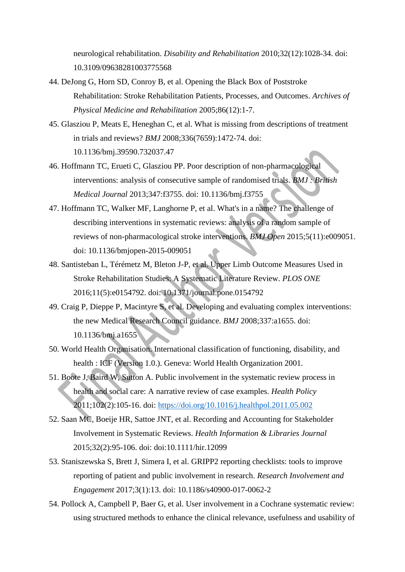neurological rehabilitation. *Disability and Rehabilitation* 2010;32(12):1028-34. doi: 10.3109/09638281003775568

- 44. DeJong G, Horn SD, Conroy B, et al. Opening the Black Box of Poststroke Rehabilitation: Stroke Rehabilitation Patients, Processes, and Outcomes. *Archives of Physical Medicine and Rehabilitation* 2005;86(12):1-7.
- 45. Glasziou P, Meats E, Heneghan C, et al. What is missing from descriptions of treatment in trials and reviews? *BMJ* 2008;336(7659):1472-74. doi: 10.1136/bmj.39590.732037.47
- 46. Hoffmann TC, Erueti C, Glasziou PP. Poor description of non-pharmacological interventions: analysis of consecutive sample of randomised trials. *BMJ : British Medical Journal* 2013;347:f3755. doi: 10.1136/bmj.f3755
- 47. Hoffmann TC, Walker MF, Langhorne P, et al. What's in a name? The challenge of describing interventions in systematic reviews: analysis of a random sample of reviews of non-pharmacological stroke interventions. *BMJ Open* 2015;5(11):e009051. doi: 10.1136/bmjopen-2015-009051
- 48. Santisteban L, Térémetz M, Bleton J-P, et al. Upper Limb Outcome Measures Used in Stroke Rehabilitation Studies: A Systematic Literature Review. *PLOS ONE* 2016;11(5):e0154792. doi: 10.1371/journal.pone.0154792
- 49. Craig P, Dieppe P, Macintyre S, et al. Developing and evaluating complex interventions: the new Medical Research Council guidance. *BMJ* 2008;337:a1655. doi: 10.1136/bmj.a1655
- 50. World Health Organisation. International classification of functioning, disability, and health : ICF (Version 1.0.). Geneva: World Health Organization 2001.
- 51. Boote J, Baird W, Sutton A. Public involvement in the systematic review process in health and social care: A narrative review of case examples. *Health Policy* 2011;102(2):105-16. doi:<https://doi.org/10.1016/j.healthpol.2011.05.002>
- 52. Saan MC, Boeije HR, Sattoe JNT, et al. Recording and Accounting for Stakeholder Involvement in Systematic Reviews. *Health Information & Libraries Journal* 2015;32(2):95-106. doi: doi:10.1111/hir.12099
- 53. Staniszewska S, Brett J, Simera I, et al. GRIPP2 reporting checklists: tools to improve reporting of patient and public involvement in research. *Research Involvement and Engagement* 2017;3(1):13. doi: 10.1186/s40900-017-0062-2
- 54. Pollock A, Campbell P, Baer G, et al. User involvement in a Cochrane systematic review: using structured methods to enhance the clinical relevance, usefulness and usability of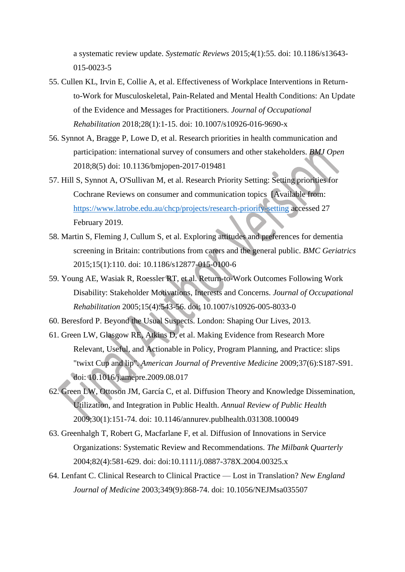a systematic review update. *Systematic Reviews* 2015;4(1):55. doi: 10.1186/s13643- 015-0023-5

- 55. Cullen KL, Irvin E, Collie A, et al. Effectiveness of Workplace Interventions in Returnto-Work for Musculoskeletal, Pain-Related and Mental Health Conditions: An Update of the Evidence and Messages for Practitioners. *Journal of Occupational Rehabilitation* 2018;28(1):1-15. doi: 10.1007/s10926-016-9690-x
- 56. Synnot A, Bragge P, Lowe D, et al. Research priorities in health communication and participation: international survey of consumers and other stakeholders. *BMJ Open* 2018;8(5) doi: 10.1136/bmjopen-2017-019481
- 57. Hill S, Synnot A, O'Sullivan M, et al. Research Priority Setting: Setting priorities for Cochrane Reviews on consumer and communication topics [Available from: <https://www.latrobe.edu.au/chcp/projects/research-priority-setting> accessed 27 February 2019.
- 58. Martin S, Fleming J, Cullum S, et al. Exploring attitudes and preferences for dementia screening in Britain: contributions from carers and the general public. *BMC Geriatrics* 2015;15(1):110. doi: 10.1186/s12877-015-0100-6
- 59. Young AE, Wasiak R, Roessler RT, et al. Return-to-Work Outcomes Following Work Disability: Stakeholder Motivations, Interests and Concerns. *Journal of Occupational Rehabilitation* 2005;15(4):543-56. doi: 10.1007/s10926-005-8033-0
- 60. Beresford P. Beyond the Usual Suspects. London: Shaping Our Lives, 2013.
- 61. Green LW, Glasgow RE, Atkins D, et al. Making Evidence from Research More Relevant, Useful, and Actionable in Policy, Program Planning, and Practice: slips "twixt Cup and lip". *American Journal of Preventive Medicine* 2009;37(6):S187-S91. doi: 10.1016/j.amepre.2009.08.017
- 62. Green LW, Ottoson JM, García C, et al. Diffusion Theory and Knowledge Dissemination, Utilization, and Integration in Public Health. *Annual Review of Public Health* 2009;30(1):151-74. doi: 10.1146/annurev.publhealth.031308.100049
- 63. Greenhalgh T, Robert G, Macfarlane F, et al. Diffusion of Innovations in Service Organizations: Systematic Review and Recommendations. *The Milbank Quarterly* 2004;82(4):581-629. doi: doi:10.1111/j.0887-378X.2004.00325.x
- 64. Lenfant C. Clinical Research to Clinical Practice Lost in Translation? *New England Journal of Medicine* 2003;349(9):868-74. doi: 10.1056/NEJMsa035507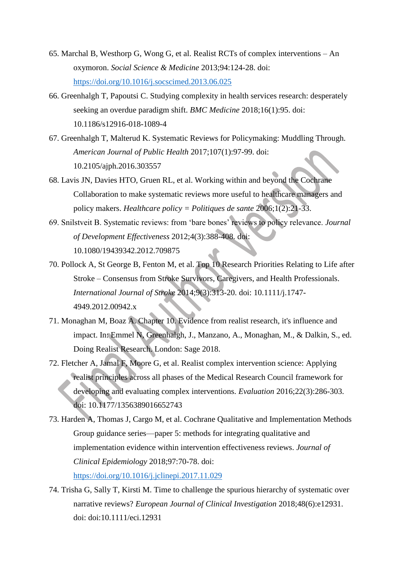- 65. Marchal B, Westhorp G, Wong G, et al. Realist RCTs of complex interventions An oxymoron. *Social Science & Medicine* 2013;94:124-28. doi: <https://doi.org/10.1016/j.socscimed.2013.06.025>
- 66. Greenhalgh T, Papoutsi C. Studying complexity in health services research: desperately seeking an overdue paradigm shift. *BMC Medicine* 2018;16(1):95. doi: 10.1186/s12916-018-1089-4
- 67. Greenhalgh T, Malterud K. Systematic Reviews for Policymaking: Muddling Through. *American Journal of Public Health* 2017;107(1):97-99. doi: 10.2105/ajph.2016.303557
- 68. Lavis JN, Davies HTO, Gruen RL, et al. Working within and beyond the Cochrane Collaboration to make systematic reviews more useful to healthcare managers and policy makers. *Healthcare policy = Politiques de sante* 2006;1(2):21-33.
- 69. Snilstveit B. Systematic reviews: from 'bare bones' reviews to policy relevance. *Journal of Development Effectiveness* 2012;4(3):388-408. doi: 10.1080/19439342.2012.709875
- 70. Pollock A, St George B, Fenton M, et al. Top 10 Research Priorities Relating to Life after Stroke – Consensus from Stroke Survivors, Caregivers, and Health Professionals. *International Journal of Stroke* 2014;9(3):313-20. doi: 10.1111/j.1747- 4949.2012.00942.x
- 71. Monaghan M, Boaz A. Chapter 10. Evidence from realist research, it's influence and impact. In: Emmel N, Greenhalgh, J., Manzano, A., Monaghan, M., & Dalkin, S., ed. Doing Realist Research. London: Sage 2018.
- 72. Fletcher A, Jamal F, Moore G, et al. Realist complex intervention science: Applying realist principles across all phases of the Medical Research Council framework for developing and evaluating complex interventions. *Evaluation* 2016;22(3):286-303. doi: 10.1177/1356389016652743
- 73. Harden A, Thomas J, Cargo M, et al. Cochrane Qualitative and Implementation Methods Group guidance series—paper 5: methods for integrating qualitative and implementation evidence within intervention effectiveness reviews. *Journal of Clinical Epidemiology* 2018;97:70-78. doi: <https://doi.org/10.1016/j.jclinepi.2017.11.029>
- 74. Trisha G, Sally T, Kirsti M. Time to challenge the spurious hierarchy of systematic over narrative reviews? *European Journal of Clinical Investigation* 2018;48(6):e12931. doi: doi:10.1111/eci.12931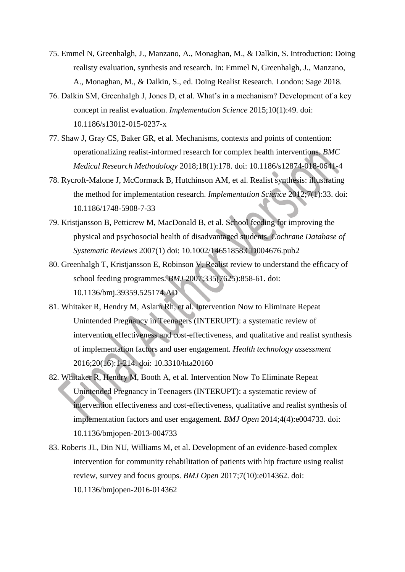- 75. Emmel N, Greenhalgh, J., Manzano, A., Monaghan, M., & Dalkin, S. Introduction: Doing realisty evaluation, synthesis and research. In: Emmel N, Greenhalgh, J., Manzano, A., Monaghan, M., & Dalkin, S., ed. Doing Realist Research. London: Sage 2018.
- 76. Dalkin SM, Greenhalgh J, Jones D, et al. What's in a mechanism? Development of a key concept in realist evaluation. *Implementation Science* 2015;10(1):49. doi: 10.1186/s13012-015-0237-x
- 77. Shaw J, Gray CS, Baker GR, et al. Mechanisms, contexts and points of contention: operationalizing realist-informed research for complex health interventions. *BMC Medical Research Methodology* 2018;18(1):178. doi: 10.1186/s12874-018-0641-4
- 78. Rycroft-Malone J, McCormack B, Hutchinson AM, et al. Realist synthesis: illustrating the method for implementation research. *Implementation Science* 2012;7(1):33. doi: 10.1186/1748-5908-7-33
- 79. Kristjansson B, Petticrew M, MacDonald B, et al. School feeding for improving the physical and psychosocial health of disadvantaged students. *Cochrane Database of Systematic Reviews* 2007(1) doi: 10.1002/14651858.CD004676.pub2
- 80. Greenhalgh T, Kristjansson E, Robinson V. Realist review to understand the efficacy of school feeding programmes. *BMJ* 2007;335(7625):858-61. doi: 10.1136/bmj.39359.525174.AD
- 81. Whitaker R, Hendry M, Aslam Rh, et al. Intervention Now to Eliminate Repeat Unintended Pregnancy in Teenagers (INTERUPT): a systematic review of intervention effectiveness and cost-effectiveness, and qualitative and realist synthesis of implementation factors and user engagement. *Health technology assessment* 2016;20(16):1-214. doi: 10.3310/hta20160
- 82. Whitaker R, Hendry M, Booth A, et al. Intervention Now To Eliminate Repeat Unintended Pregnancy in Teenagers (INTERUPT): a systematic review of intervention effectiveness and cost-effectiveness, qualitative and realist synthesis of implementation factors and user engagement. *BMJ Open* 2014;4(4):e004733. doi: 10.1136/bmjopen-2013-004733
- 83. Roberts JL, Din NU, Williams M, et al. Development of an evidence-based complex intervention for community rehabilitation of patients with hip fracture using realist review, survey and focus groups. *BMJ Open* 2017;7(10):e014362. doi: 10.1136/bmjopen-2016-014362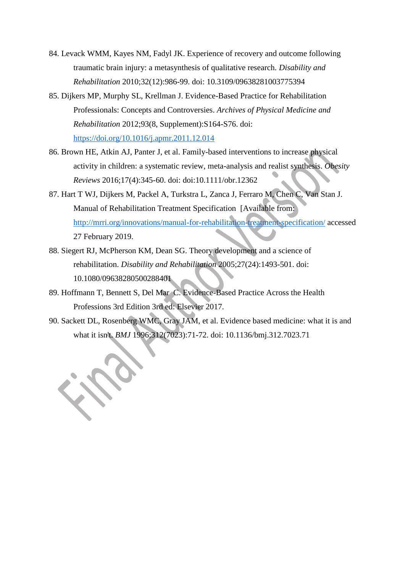- 84. Levack WMM, Kayes NM, Fadyl JK. Experience of recovery and outcome following traumatic brain injury: a metasynthesis of qualitative research. *Disability and Rehabilitation* 2010;32(12):986-99. doi: 10.3109/09638281003775394
- 85. Dijkers MP, Murphy SL, Krellman J. Evidence-Based Practice for Rehabilitation Professionals: Concepts and Controversies. *Archives of Physical Medicine and Rehabilitation* 2012;93(8, Supplement):S164-S76. doi: <https://doi.org/10.1016/j.apmr.2011.12.014>
- 86. Brown HE, Atkin AJ, Panter J, et al. Family-based interventions to increase physical activity in children: a systematic review, meta-analysis and realist synthesis. *Obesity Reviews* 2016;17(4):345-60. doi: doi:10.1111/obr.12362
- 87. Hart T WJ, Dijkers M, Packel A, Turkstra L, Zanca J, Ferraro M, Chen C, Van Stan J. Manual of Rehabilitation Treatment Specification [Available from: <http://mrri.org/innovations/manual-for-rehabilitation-treatment-specification/> accessed 27 February 2019.
- 88. Siegert RJ, McPherson KM, Dean SG. Theory development and a science of rehabilitation. *Disability and Rehabilitation* 2005;27(24):1493-501. doi: 10.1080/09638280500288401

- 89. Hoffmann T, Bennett S, Del Mar C. Evidence-Based Practice Across the Health Professions 3rd Edition 3rd ed: Elsevier 2017.
- 90. Sackett DL, Rosenberg WMC, Gray JAM, et al. Evidence based medicine: what it is and what it isn't. *BMJ* 1996;312(7023):71-72. doi: 10.1136/bmj.312.7023.71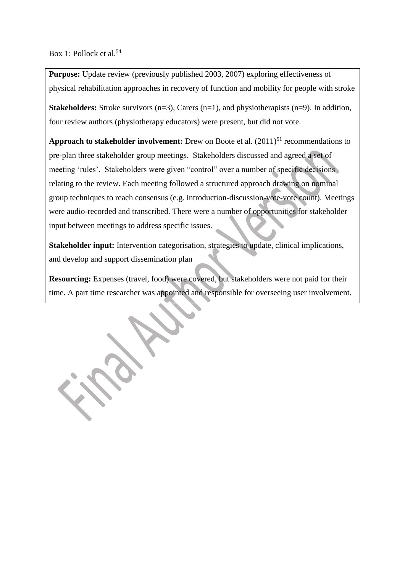Box 1: Pollock et al.<sup>54</sup>

**Purpose:** Update review (previously published 2003, 2007) exploring effectiveness of physical rehabilitation approaches in recovery of function and mobility for people with stroke

**Stakeholders:** Stroke survivors (n=3), Carers (n=1), and physiotherapists (n=9). In addition, four review authors (physiotherapy educators) were present, but did not vote.

**Approach to stakeholder involvement:** Drew on Boote et al.  $(2011)^{51}$  recommendations to pre-plan three stakeholder group meetings. Stakeholders discussed and agreed a set of meeting 'rules'. Stakeholders were given "control" over a number of specific decisions relating to the review. Each meeting followed a structured approach drawing on nominal group techniques to reach consensus (e.g. introduction-discussion-vote-vote count). Meetings were audio-recorded and transcribed. There were a number of opportunities for stakeholder input between meetings to address specific issues.

**Stakeholder input:** Intervention categorisation, strategies to update, clinical implications, and develop and support dissemination plan

**Resourcing:** Expenses (travel, food) were covered, but stakeholders were not paid for their time. A part time researcher was appointed and responsible for overseeing user involvement.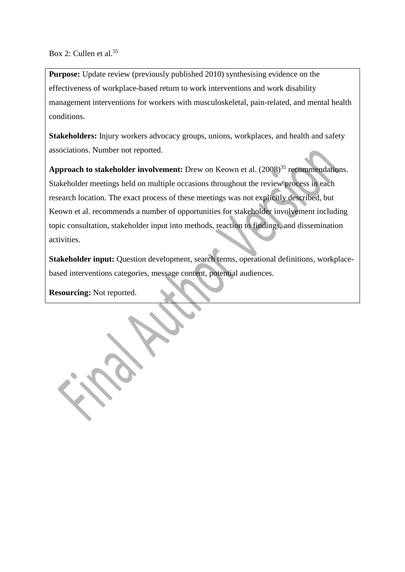Box 2: Cullen et al.<sup>55</sup>

**Purpose:** Update review (previously published 2010) synthesising evidence on the effectiveness of workplace-based return to work interventions and work disability management interventions for workers with musculoskeletal, pain-related, and mental health conditions.

**Stakeholders:** Injury workers advocacy groups, unions, workplaces, and health and safety associations. Number not reported.

Approach to stakeholder involvement: Drew on Keown et al. (2008)<sup>35</sup> recommendations. Stakeholder meetings held on multiple occasions throughout the review process in each research location. The exact process of these meetings was not explicitly described, but Keown et al. recommends a number of opportunities for stakeholder involvement including topic consultation, stakeholder input into methods, reaction to findings, and dissemination activities.

**Stakeholder input:** Question development, search terms, operational definitions, workplacebased interventions categories, message content, potential audiences.

**Resourcing:** Not reported.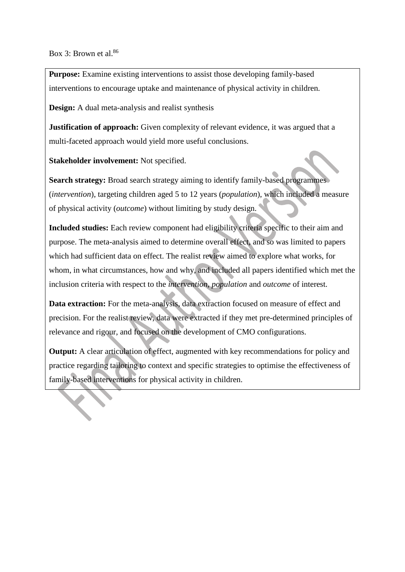Box 3: Brown et al.<sup>86</sup>

**Purpose:** Examine existing interventions to assist those developing family-based interventions to encourage uptake and maintenance of physical activity in children.

**Design:** A dual meta-analysis and realist synthesis

**Justification of approach:** Given complexity of relevant evidence, it was argued that a multi-faceted approach would yield more useful conclusions.

**Stakeholder involvement:** Not specified.

**Search strategy:** Broad search strategy aiming to identify family-based programmes (*intervention*), targeting children aged 5 to 12 years (*population*), which included a measure of physical activity (*outcome*) without limiting by study design.

**Included studies:** Each review component had eligibility criteria specific to their aim and purpose. The meta-analysis aimed to determine overall effect, and so was limited to papers which had sufficient data on effect. The realist review aimed to explore what works, for whom, in what circumstances, how and why, and included all papers identified which met the inclusion criteria with respect to the *intervention, population* and *outcome* of interest.

**Data extraction:** For the meta-analysis, data extraction focused on measure of effect and precision. For the realist review, data were extracted if they met pre-determined principles of relevance and rigour, and focused on the development of CMO configurations.

**Output:** A clear articulation of effect, augmented with key recommendations for policy and practice regarding tailoring to context and specific strategies to optimise the effectiveness of family-based interventions for physical activity in children.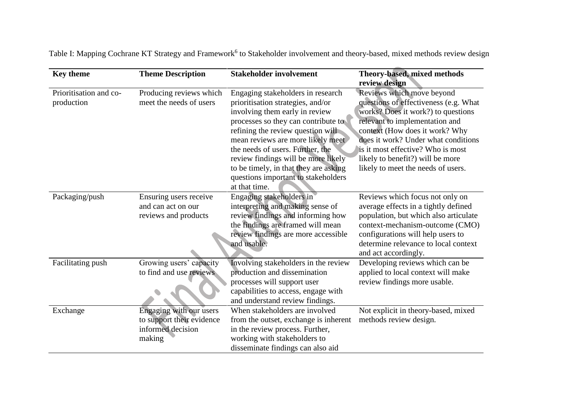Table I: Mapping Cochrane KT Strategy and Framework<sup>6</sup> to Stakeholder involvement and theory-based, mixed methods review design

| <b>Key theme</b>                     | <b>Theme Description</b>                                                            | <b>Stakeholder involvement</b>                                                                                                                                                                                                                                                                                                                                                                        | Theory-based, mixed methods<br>review design                                                                                                                                                                                                                                                                                       |
|--------------------------------------|-------------------------------------------------------------------------------------|-------------------------------------------------------------------------------------------------------------------------------------------------------------------------------------------------------------------------------------------------------------------------------------------------------------------------------------------------------------------------------------------------------|------------------------------------------------------------------------------------------------------------------------------------------------------------------------------------------------------------------------------------------------------------------------------------------------------------------------------------|
| Prioritisation and co-<br>production | Producing reviews which<br>meet the needs of users                                  | Engaging stakeholders in research<br>prioritisation strategies, and/or<br>involving them early in review<br>processes so they can contribute to<br>refining the review question will<br>mean reviews are more likely meet<br>the needs of users. Further, the<br>review findings will be more likely<br>to be timely, in that they are asking<br>questions important to stakeholders<br>at that time. | Reviews which move beyond<br>questions of effectiveness (e.g. What<br>works? Does it work?) to questions<br>relevant to implementation and<br>context (How does it work? Why<br>does it work? Under what conditions<br>is it most effective? Who is most<br>likely to benefit?) will be more<br>likely to meet the needs of users. |
| Packaging/push                       | Ensuring users receive<br>and can act on our<br>reviews and products                | Engaging stakeholders in<br>interpreting and making sense of<br>review findings and informing how<br>the findings are framed will mean<br>review findings are more accessible<br>and usable.                                                                                                                                                                                                          | Reviews which focus not only on<br>average effects in a tightly defined<br>population, but which also articulate<br>context-mechanism-outcome (CMO)<br>configurations will help users to<br>determine relevance to local context<br>and act accordingly.                                                                           |
| Facilitating push                    | Growing users' capacity<br>to find and use reviews                                  | Involving stakeholders in the review<br>production and dissemination<br>processes will support user<br>capabilities to access, engage with<br>and understand review findings.                                                                                                                                                                                                                         | Developing reviews which can be<br>applied to local context will make<br>review findings more usable.                                                                                                                                                                                                                              |
| Exchange                             | Engaging with our users<br>to support their evidence<br>informed decision<br>making | When stakeholders are involved<br>from the outset, exchange is inherent<br>in the review process. Further,<br>working with stakeholders to<br>disseminate findings can also aid                                                                                                                                                                                                                       | Not explicit in theory-based, mixed<br>methods review design.                                                                                                                                                                                                                                                                      |